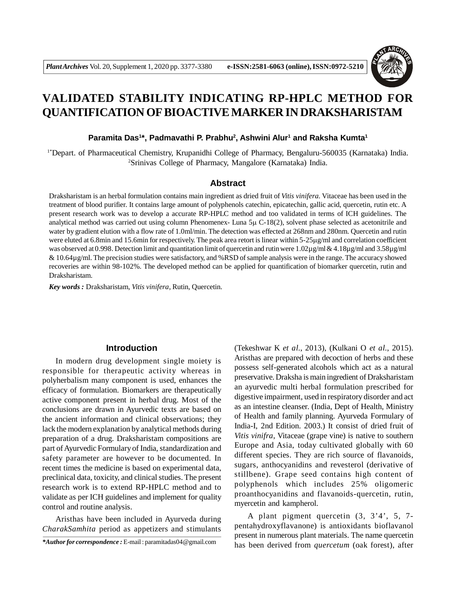

# **VALIDATED STABILITY INDICATING RP-HPLC METHOD FOR QUANTIFICATION OF BIOACTIVE MARKER IN DRAKSHARISTAM**

#### **Paramita Das<sup>1</sup> \*, Padmavathi P. Prabhu<sup>2</sup> , Ashwini Alur<sup>1</sup> and Raksha Kumta<sup>1</sup>**

1\*Depart. of Pharmaceutical Chemistry, Krupanidhi College of Pharmacy, Bengaluru-560035 (Karnataka) India. <sup>2</sup>Srinivas College of Pharmacy, Mangalore (Karnataka) India.

#### **Abstract**

Draksharistam is an herbal formulation contains main ingredient as dried fruit of *Vitis vinifera.* Vitaceae has been used in the treatment of blood purifier. It contains large amount of polyphenols catechin, epicatechin, gallic acid, quercetin, rutin etc. A present research work was to develop a accurate RP-HPLC method and too validated in terms of ICH guidelines. The analytical method was carried out using column Phenomenex- Luna  $5\mu$  C-18(2), solvent phase selected as acetonitrile and water by gradient elution with a flow rate of 1.0ml/min. The detection was effected at 268nm and 280nm. Quercetin and rutin were eluted at 6.8min and 15.6min for respectively. The peak area retort is linear within 5-25 $\mu$ g/ml and correlation coefficient was observed at 0.998. Detection limit and quantitation limit of quercetin and rutin were 1.02µg/ml & 4.18µg/ml and 3.58µg/ml & 10.64µg/ml. The precision studies were satisfactory, and %RSD of sample analysis were in the range. The accuracy showed recoveries are within 98-102%. The developed method can be applied for quantification of biomarker quercetin, rutin and Draksharistam.

*Key words :* Draksharistam, *Vitis vinifera*, Rutin, Quercetin.

# **Introduction**

In modern drug development single moiety is responsible for therapeutic activity whereas in polyherbalism many component is used, enhances the efficacy of formulation. Biomarkers are therapeutically active component present in herbal drug. Most of the conclusions are drawn in Ayurvedic texts are based on the ancient information and clinical observations; they lack the modern explanation by analytical methods during preparation of a drug. Draksharistam compositions are part of Ayurvedic Formulary of India, standardization and safety parameter are however to be documented. In recent times the medicine is based on experimental data, preclinical data, toxicity, and clinical studies. The present research work is to extend RP-HPLC method and to validate as per ICH guidelines and implement for quality control and routine analysis.

Aristhas have been included in Ayurveda during *CharakSamhita* period as appetizers and stimulants (Tekeshwar K *et al.*, 2013), (Kulkani O *et al.*, 2015). Aristhas are prepared with decoction of herbs and these possess self-generated alcohols which act as a natural preservative. Draksha is main ingredient of Draksharistam an ayurvedic multi herbal formulation prescribed for digestive impairment, used in respiratory disorder and act as an intestine cleanser. (India, Dept of Health, Ministry of Health and family planning. Ayurveda Formulary of India-I, 2nd Edition. 2003.) It consist of dried fruit of *Vitis vinifra*, Vitaceae (grape vine) is native to southern Europe and Asia, today cultivated globally with 60 different species. They are rich source of flavanoids, sugars, anthocyanidins and revesterol (derivative of stillbene). Grape seed contains high content of polyphenols which includes 25% oligomeric proanthocyanidins and flavanoids-quercetin, rutin, myercetin and kampherol.

A plant pigment quercetin (3, 3'4', 5, 7 pentahydroxyflavanone) is antioxidants bioflavanol present in numerous plant materials. The name quercetin has been derived from *quercetum* (oak forest), after

*<sup>\*</sup>Author for correspondence :* E-mail : paramitadas04@gmail.com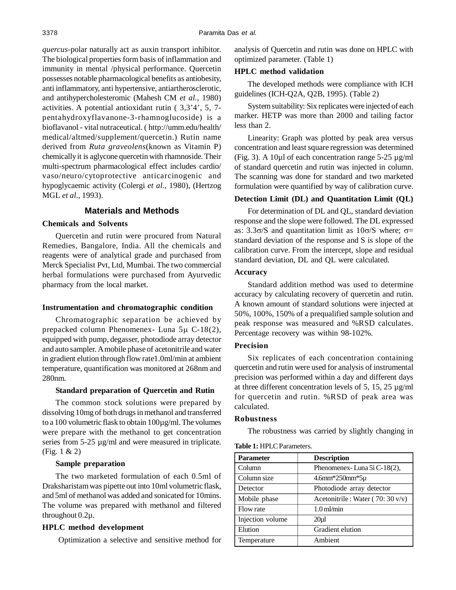*quercus*-polar naturally act as auxin transport inhibitor. The biological properties form basis of inflammation and immunity in mental /physical performance. Quercetin possesses notable pharmacological benefits as antiobesity, anti inflammatory, anti hypertensive, antiartherosclerotic, and antihypercholesteromic (Mahesh CM *et al.*, 1980) activities. A potential antioxidant rutin ( 3,3'4', 5, 7 pentahydroxyflavanone-3-rhamnoglucoside) is a bioflavanol - vital nutraceutical. ( http://umm.edu/health/ medical/altmed/supplement/quercetin.) Rutin name derived from *Ruta graveolens*(known as Vitamin P) chemically it is aglycone quercetin with rhamnoside. Their multi-spectrum pharmacological effect includes cardio/ vaso/neuro/cytoprotective anticarcinogenic and hypoglycaemic activity (Colergi *et al.*, 1980), (Hertzog MGL *et al.*, 1993).

# **Materials and Methods**

# **Chemicals and Solvents**

Quercetin and rutin were procured from Natural Remedies, Bangalore, India. All the chemicals and reagents were of analytical grade and purchased from Merck Specialist Pvt, Ltd, Mumbai. The two commercial herbal formulations were purchased from Ayurvedic pharmacy from the local market.

#### **Instrumentation and chromatographic condition**

Chromatographic separation be achieved by prepacked column Phenomenex- Luna  $5\mu$  C-18(2), equipped with pump, degasser, photodiode array detector and auto sampler. A mobile phase of acetonitrile and water in gradient elution through flow rate1.0ml/min at ambient temperature, quantification was monitored at 268nm and 280nm.

#### **Standard preparation of Quercetin and Rutin**

The common stock solutions were prepared by dissolving 10mg of both drugs in methanol and transferred to a 100 volumetric flask to obtain 100µg/ml. The volumes were prepare with the methanol to get concentration series from 5-25  $\mu$ g/ml and were measured in triplicate. (Fig. 1 & 2)

#### **Sample preparation**

The two marketed formulation of each 0.5ml of Draksharistam was pipette out into 10ml volumetric flask, and 5ml of methanol was added and sonicated for 10mins. The volume was prepared with methanol and filtered throughout 0.2µ.

# **HPLC method development**

Optimization a selective and sensitive method for

analysis of Quercetin and rutin was done on HPLC with optimized parameter. (Table 1)

# **HPLC method validation**

The developed methods were compliance with ICH guidelines (ICH-Q2A, Q2B, 1995). (Table 2)

System suitability: Six replicates were injected of each marker. HETP was more than 2000 and tailing factor less than 2.

Linearity: Graph was plotted by peak area versus concentration and least square regression was determined (Fig. 3). A 10µl of each concentration range 5-25 µg/ml of standard quercetin and rutin was injected in column. The scanning was done for standard and two marketed formulation were quantified by way of calibration curve.

# **Detection Limit (DL) and Quantitation Limit (QL)**

For determination of DL and QL, standard deviation response and the slope were followed. The DL expressed as:  $3.3\sigma/S$  and quantitation limit as  $10\sigma/S$  where;  $\sigma=$ standard deviation of the response and S is slope of the calibration curve. From the intercept, slope and residual standard deviation, DL and QL were calculated.

#### **Accuracy**

Standard addition method was used to determine accuracy by calculating recovery of quercetin and rutin. A known amount of standard solutions were injected at 50%, 100%, 150% of a prequalified sample solution and peak response was measured and %RSD calculates. Percentage recovery was within 98-102%.

#### **Precision**

Six replicates of each concentration containing quercetin and rutin were used for analysis of instrumental precision was performed within a day and different days at three different concentration levels of 5, 15, 25 µg/ml for quercetin and rutin. %RSD of peak area was calculated.

#### **Robustness**

The robustness was carried by slightly changing in

#### **Table 1:** HPLC Parameters.

| <b>Parameter</b> | <b>Description</b>                |
|------------------|-----------------------------------|
| Column           | Phenomenex-Luna 5ì C-18(2),       |
| Column size      | $4.6$ mm $*250$ mm $*5\mu$        |
| Detector         | Photodiode array detector         |
| Mobile phase     | Acetonitrile : Water (70: 30 v/v) |
| Flow rate        | $1.0$ ml/min                      |
| Injection volume | 20 <sub>u</sub> 1                 |
| Elution          | Gradient elution                  |
| Temperature      | Ambient                           |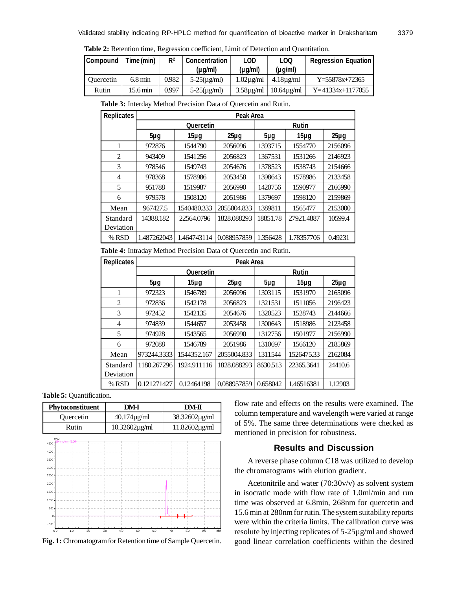| Table 2: Retention time, Regression coefficient, Limit of Detection and Quantitation. |  |  |  |
|---------------------------------------------------------------------------------------|--|--|--|
|---------------------------------------------------------------------------------------|--|--|--|

| <b>Compound</b>  | Time (min)           | R <sup>2</sup> | <b>Concentration</b><br>(µg/ml) | <b>LOD</b><br>(µg/ml) | LOO<br>$(\mu q/m)$   | <b>Regression Equation</b> |
|------------------|----------------------|----------------|---------------------------------|-----------------------|----------------------|----------------------------|
| <b>Ouercetin</b> | $6.8 \,\mathrm{min}$ | 0.982          | $5-25(\mu g/ml)$                | $1.02\mu$ g/ml        | $4.18\mu\text{g/ml}$ | $Y = 55878x + 72365$       |
| Rutin            | 15.6 min             | 0.997          | $5-25(\mu g/ml)$                | $3.58\mu g/ml$        | $10.64$ ug/ml        | $Y=41334x+1177055$         |

| <b>Replicates</b> | Peak Area        |             |             |          |            |          |
|-------------------|------------------|-------------|-------------|----------|------------|----------|
|                   | <b>Quercetin</b> |             |             |          |            |          |
|                   | $5\mug$          | $15\mug$    | $25\mug$    | $5\mug$  | $15\mug$   | $25\mug$ |
|                   | 972876           | 1544790     | 2056096     | 1393715  | 1554770    | 2156096  |
| 2                 | 943409           | 1541256     | 2056823     | 1367531  | 1531266    | 2146923  |
| 3                 | 978546           | 1549743     | 2054676     | 1378523  | 1538743    | 2154666  |
| 4                 | 978368           | 1578986     | 2053458     | 1398643  | 1578986    | 2133458  |
| 5                 | 951788           | 1519987     | 2056990     | 1420756  | 1590977    | 2166990  |
| 6                 | 979578           | 1508120     | 2051986     | 1379697  | 1598120    | 2159869  |
| Mean              | 967427.5         | 1540480.333 | 2055004.833 | 1389811  | 1565477    | 2153000  |
| Standard          | 14388.182        | 22564.0796  | 1828.088293 | 18851.78 | 27921.4887 | 10599.4  |
| Deviation         |                  |             |             |          |            |          |
| % RSD             | 1.487262043      | 1.464743114 | 0.088957859 | 1.356428 | 1.78357706 | 0.49231  |

**Table 3:** Interday Method Precision Data of Quercetin and Rutin.

**Table 4:** Intraday Method Precision Data of Quercetin and Rutin.

| <b>Replicates</b> | Peak Area   |                  |              |          |            |          |
|-------------------|-------------|------------------|--------------|----------|------------|----------|
|                   |             | <b>Quercetin</b> | <b>Rutin</b> |          |            |          |
|                   | $5\mug$     | $15\mug$         | $25\mug$     | $5\mug$  | $15\mug$   | $25\mug$ |
| 1                 | 972323      | 1546789          | 2056096      | 1303115  | 1531970    | 2165096  |
| $\overline{c}$    | 972836      | 1542178          | 2056823      | 1321531  | 1511056    | 2196423  |
| 3                 | 972452      | 1542135          | 2054676      | 1320523  | 1528743    | 2144666  |
| 4                 | 974839      | 1544657          | 2053458      | 1300643  | 1518986    | 2123458  |
| 5                 | 974928      | 1543565          | 2056990      | 1312756  | 1501977    | 2156990  |
| 6                 | 972088      | 1546789          | 2051986      | 1310697  | 1566120    | 2185869  |
| Mean              | 973244.3333 | 1544352.167      | 2055004.833  | 1311544  | 1526475.33 | 2162084  |
| Standard          | 1180.267296 | 1924.911116      | 1828.088293  | 8630.513 | 22365.3641 | 24410.6  |
| Deviation         |             |                  |              |          |            |          |
| % RSD             | 0.121271427 | 0.12464198       | 0.088957859  | 0.658042 | 1.46516381 | 1.12903  |

**Table 5:** Quantification.





flow rate and effects on the results were examined. The column temperature and wavelength were varied at range of 5%. The same three determinations were checked as mentioned in precision for robustness.

# **Results and Discussion**

A reverse phase column C18 was utilized to develop the chromatograms with elution gradient.

Acetonitrile and water  $(70:30v/v)$  as solvent system in isocratic mode with flow rate of 1.0ml/min and run time was observed at 6.8min, 268nm for quercetin and 15.6 min at 280nm for rutin. The system suitability reports were within the criteria limits. The calibration curve was resolute by injecting replicates of 5-25µg/ml and showed good linear correlation coefficients within the desired